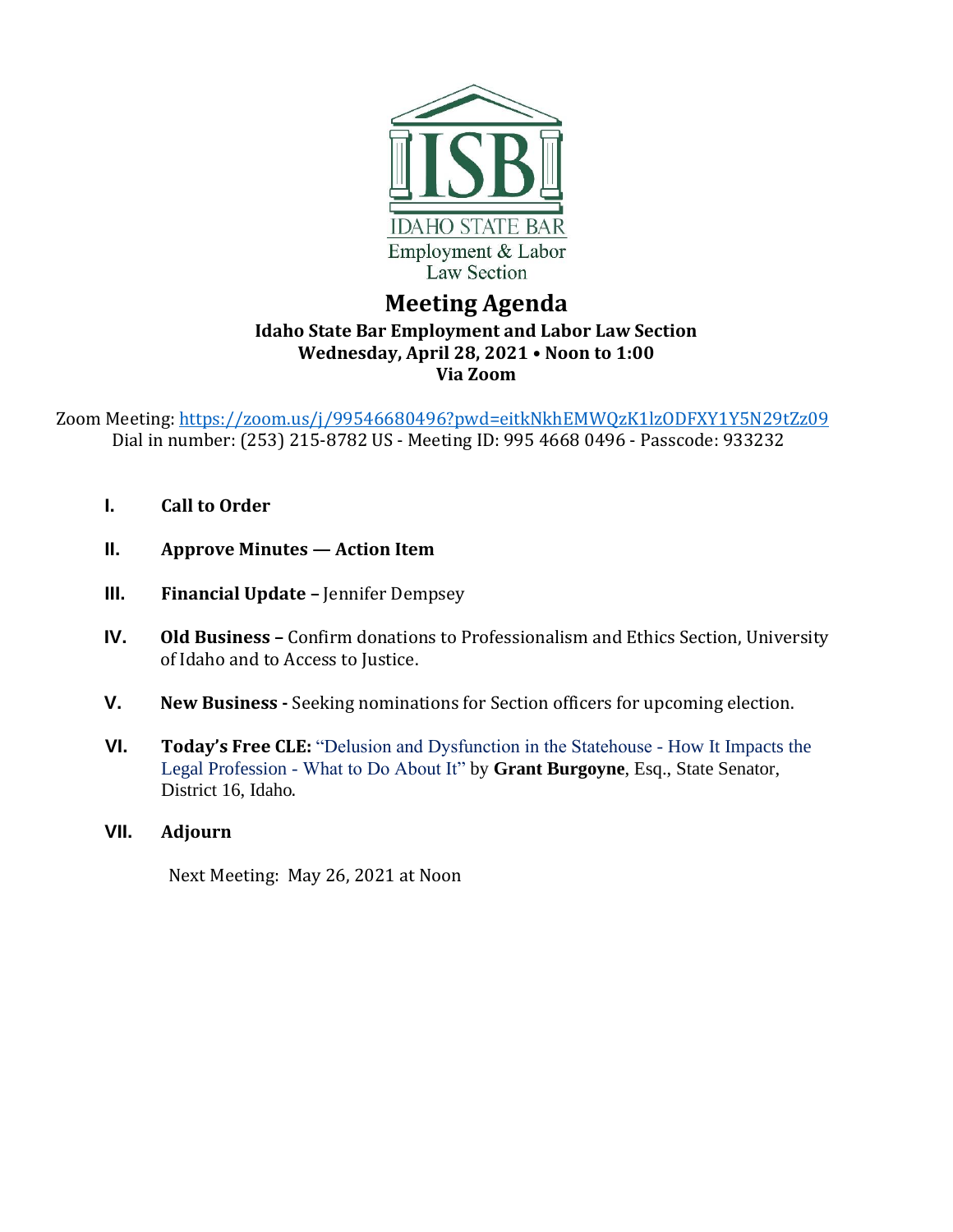

## **Meeting Agenda Idaho State Bar Employment and Labor Law Section Wednesday, April 28, 2021 • Noon to 1:00 Via Zoom**

Zoom Meeting: <https://zoom.us/j/99546680496?pwd=eitkNkhEMWQzK1lzODFXY1Y5N29tZz09> Dial in number: (253) 215-8782 US - Meeting ID: 995 4668 0496 - Passcode: 933232

- **I. Call to Order**
- **II. Approve Minutes — Action Item**
- **III. Financial Update -** Jennifer Dempsey
- **IV. Old Business –** Confirm donations to Professionalism and Ethics Section, University of Idaho and to Access to Justice.
- **V. New Business -** Seeking nominations for Section officers for upcoming election.
- **VI. Today's Free CLE:** "Delusion and Dysfunction in the Statehouse How It Impacts the Legal Profession - What to Do About It" by **Grant Burgoyne**, Esq., State Senator, District 16, Idaho.
- **VII. Adjourn**

Next Meeting: May 26, 2021 at Noon